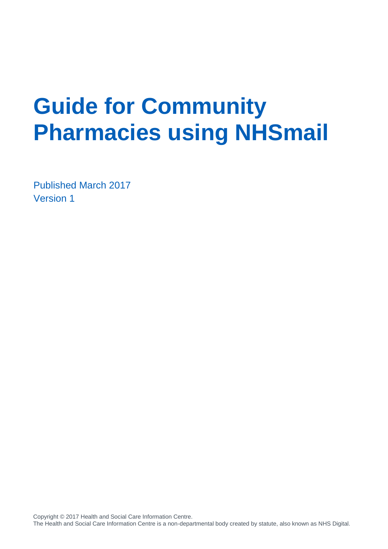# **Guide for Community Pharmacies using NHSmail**

Published March 2017 Version 1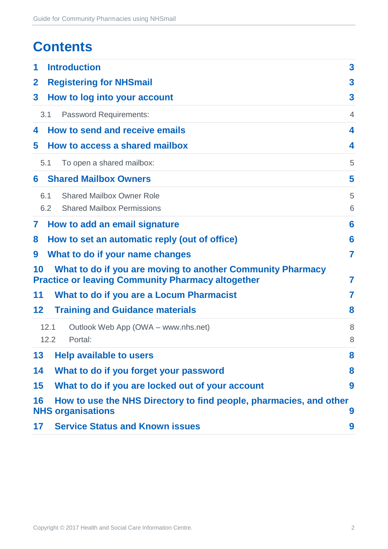# **Contents**

| 1            | <b>Introduction</b>                                                                                                    | $\mathbf{3}$            |
|--------------|------------------------------------------------------------------------------------------------------------------------|-------------------------|
| $\mathbf{2}$ | <b>Registering for NHSmail</b>                                                                                         | 3                       |
| 3            | How to log into your account                                                                                           | 3                       |
|              | 3.1<br><b>Password Requirements:</b>                                                                                   | $\overline{4}$          |
| 4            | How to send and receive emails                                                                                         | $\overline{\mathbf{4}}$ |
| 5            | How to access a shared mailbox                                                                                         | 4                       |
|              | 5.1<br>To open a shared mailbox:                                                                                       | 5                       |
| 6            | <b>Shared Mailbox Owners</b>                                                                                           | 5                       |
|              | <b>Shared Mailbox Owner Role</b><br>6.1                                                                                | 5                       |
|              | 6.2<br><b>Shared Mailbox Permissions</b>                                                                               | 6                       |
| 7            | How to add an email signature                                                                                          | 6                       |
| 8            | How to set an automatic reply (out of office)                                                                          | 6                       |
| 9            | What to do if your name changes                                                                                        | 7                       |
| 10           | What to do if you are moving to another Community Pharmacy<br><b>Practice or leaving Community Pharmacy altogether</b> | 7                       |
| 11           | What to do if you are a Locum Pharmacist                                                                               | 7                       |
| $12 \,$      | <b>Training and Guidance materials</b>                                                                                 | 8                       |
|              | 12.1<br>Outlook Web App (OWA - www.nhs.net)<br>12.2<br>Portal:                                                         | 8<br>8                  |
| 13           | <b>Help available to users</b>                                                                                         | 8                       |
| 14           | What to do if you forget your password                                                                                 | 8                       |
| 15           | What to do if you are locked out of your account                                                                       | 9                       |
| 16           | How to use the NHS Directory to find people, pharmacies, and other<br><b>NHS organisations</b>                         | 9                       |
| 17           | <b>Service Status and Known issues</b>                                                                                 | 9                       |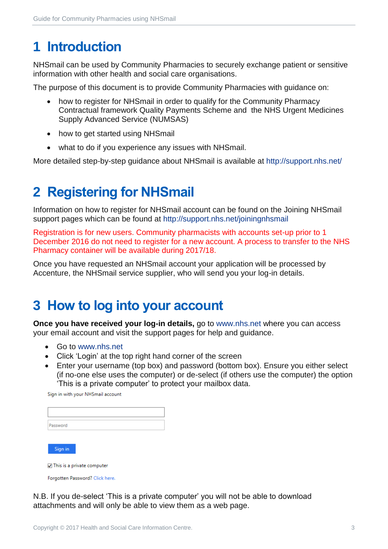# <span id="page-2-0"></span>**1 Introduction**

NHSmail can be used by Community Pharmacies to securely exchange patient or sensitive information with other health and social care organisations.

The purpose of this document is to provide Community Pharmacies with guidance on:

- how to register for NHSmail in order to qualify for the Community Pharmacy Contractual framework Quality Payments Scheme and the NHS Urgent Medicines Supply Advanced Service (NUMSAS)
- how to get started using NHSmail
- what to do if you experience any issues with NHSmail.

More detailed step-by-step guidance about NHSmail is available at<http://support.nhs.net/>

# <span id="page-2-1"></span>**2 Registering for NHSmail**

Information on how to register for NHSmail account can be found on the Joining NHSmail support pages which can be found at<http://support.nhs.net/joiningnhsmail>

Registration is for new users. Community pharmacists with accounts set-up prior to 1 December 2016 do not need to register for a new account. A process to transfer to the NHS Pharmacy container will be available during 2017/18.

Once you have requested an NHSmail account your application will be processed by Accenture, the NHSmail service supplier, who will send you your log-in details.

#### <span id="page-2-2"></span>**3 How to log into your account**

**Once you have received your log-in details,** go to [www.nhs.net](http://www.nhs.net/) where you can access your email account and visit the support pages for help and guidance.

- Go to [www.nhs.net](http://www.nhs.net/)
- Click 'Login' at the top right hand corner of the screen
- Enter your username (top box) and password (bottom box). Ensure you either select (if no-one else uses the computer) or de-select (if others use the computer) the option 'This is a private computer' to protect your mailbox data.

Sign in with your NHSmail account

| Password                   |  |  |
|----------------------------|--|--|
| Sign in                    |  |  |
| This is a private computer |  |  |

Forgotten Password? Click here.

N.B. If you de-select 'This is a private computer' you will not be able to download attachments and will only be able to view them as a web page.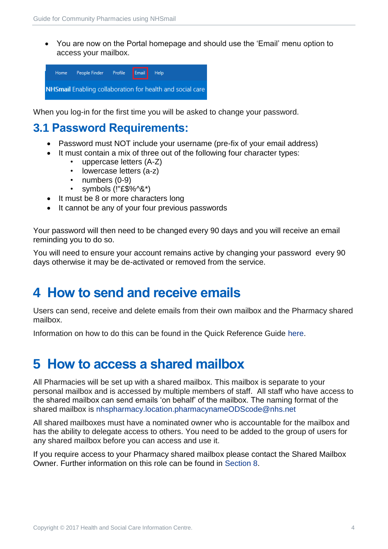You are now on the Portal homepage and should use the 'Email' menu option to access your mailbox.



When you log-in for the first time you will be asked to change your password.

#### <span id="page-3-0"></span>**3.1 Password Requirements:**

- Password must NOT include your username (pre-fix of your email address)
- It must contain a mix of three out of the following four character types:
	- uppercase letters (A-Z)
	- lowercase letters (a-z)
	- numbers (0-9)
	- symbols (!"£\$%^&\*)
- It must be 8 or more characters long
- It cannot be any of your four previous passwords

Your password will then need to be changed every 90 days and you will receive an email reminding you to do so.

You will need to ensure your account remains active by changing your password every 90 days otherwise it may be de-activated or removed from the service.

#### <span id="page-3-1"></span>**4 How to send and receive emails**

Users can send, receive and delete emails from their own mailbox and the Pharmacy shared mailbox.

Information on how to do this can be found in the Quick Reference Guide [here.](https://s3-eu-west-1.amazonaws.com/comms-mat/Training-Materials/OWA-Quick-Reference-Guides/NHSmail2_QRG_Sending_and_Receiving_Emails_v0.4_20160126.pdf)

#### <span id="page-3-2"></span>**5 How to access a shared mailbox**

All Pharmacies will be set up with a shared mailbox. This mailbox is separate to your personal mailbox and is accessed by multiple members of staff. All staff who have access to the shared mailbox can send emails 'on behalf' of the mailbox. The naming format of the shared mailbox is [nhspharmacy.location.pharmacynameODScode@nhs.net](mailto:nhspharmacy.location.pharmacynameODScode@nhs.net)

All shared mailboxes must have a nominated owner who is accountable for the mailbox and has the ability to delegate access to others. You need to be added to the group of users for any shared mailbox before you can access and use it.

If you require access to your Pharmacy shared mailbox please contact the Shared Mailbox Owner. Further information on this role can be found in [Section 8.](#page-4-1)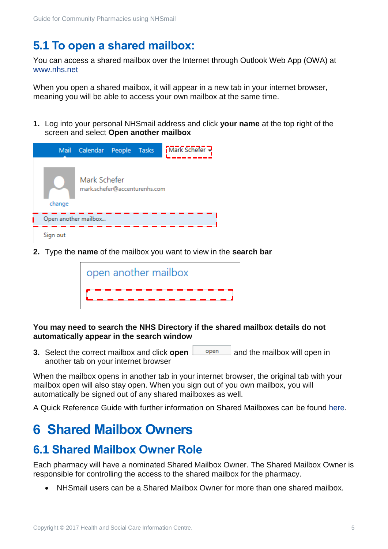#### <span id="page-4-0"></span>**5.1 To open a shared mailbox:**

You can access a shared mailbox over the Internet through Outlook Web App (OWA) at [www.nhs.net](http://www.nhs.net/)

When you open a shared mailbox, it will appear in a new tab in your internet browser, meaning you will be able to access your own mailbox at the same time.

**1.** Log into your personal NHSmail address and click **your name** at the top right of the screen and select **Open another mailbox** 



**2.** Type the **name** of the mailbox you want to view in the **search bar** 

| open another mailbox |
|----------------------|
|                      |

#### **You may need to search the NHS Directory if the shared mailbox details do not automatically appear in the search window**

**3.** Select the correct mailbox and click **open**  $\Box$  open  $\Box$  and the mailbox will open in another tab on your internet browser

When the mailbox opens in another tab in your internet browser, the original tab with your mailbox open will also stay open. When you sign out of you own mailbox, you will automatically be signed out of any shared mailboxes as well.

A Quick Reference Guide with further information on Shared Mailboxes can be found [here.](https://s3-eu-west-1.amazonaws.com/comms-mat/Training-Materials/OWA-Quick-Reference-Guides/NHSmail2_QRG_Delegated_and_Shared_Mailboxes_v0.4_20160202.pdf)

#### <span id="page-4-1"></span>**6 Shared Mailbox Owners**

#### <span id="page-4-2"></span>**6.1 Shared Mailbox Owner Role**

Each pharmacy will have a nominated Shared Mailbox Owner. The Shared Mailbox Owner is responsible for controlling the access to the shared mailbox for the pharmacy.

NHSmail users can be a Shared Mailbox Owner for more than one shared mailbox.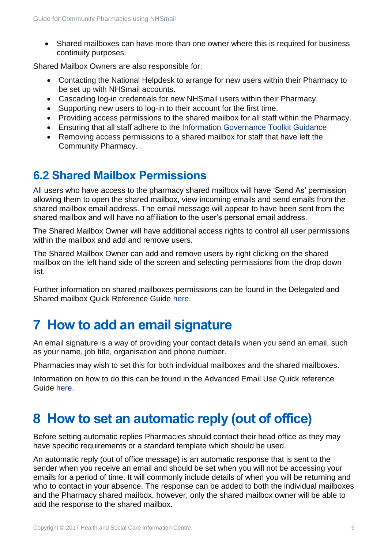Shared mailboxes can have more than one owner where this is required for business continuity purposes.

Shared Mailbox Owners are also responsible for:

- Contacting the National Helpdesk to arrange for new users within their Pharmacy to be set up with NHSmail accounts.
- Cascading log-in credentials for new NHSmail users within their Pharmacy.
- Supporting new users to log-in to their account for the first time.
- Providing access permissions to the shared mailbox for all staff within the Pharmacy.
- Ensuring that all staff adhere to the [Information Governance Toolkit Guidance](https://www.igt.hscic.gov.uk/)
- Removing access permissions to a shared mailbox for staff that have left the Community Pharmacy.

#### <span id="page-5-0"></span>**6.2 Shared Mailbox Permissions**

All users who have access to the pharmacy shared mailbox will have 'Send As' permission allowing them to open the shared mailbox, view incoming emails and send emails from the shared mailbox email address. The email message will appear to have been sent from the shared mailbox and will have no affiliation to the user's personal email address.

The Shared Mailbox Owner will have additional access rights to control all user permissions within the mailbox and add and remove users.

The Shared Mailbox Owner can add and remove users by right clicking on the shared mailbox on the left hand side of the screen and selecting permissions from the drop down list.

Further information on shared mailboxes permissions can be found in the Delegated and Shared mailbox Quick Reference Guide [here.](https://s3-eu-west-1.amazonaws.com/comms-mat/Training-Materials/OWA-Quick-Reference-Guides/NHSmail2_QRG_Delegated_and_Shared_Mailboxes_v0.4_20160202.pdf)

# <span id="page-5-1"></span>**7 How to add an email signature**

An email signature is a way of providing your contact details when you send an email, such as your name, job title, organisation and phone number.

Pharmacies may wish to set this for both individual mailboxes and the shared mailboxes.

Information on how to do this can be found in the Advanced Email Use Quick reference Guide [here.](https://s3-eu-west-1.amazonaws.com/comms-mat/Training-Materials/OWA-Quick-Reference-Guides/NHSmail2_QRG_Advanced_Email_Use_v0.3_20160126.pdf)

# <span id="page-5-2"></span>**8 How to set an automatic reply (out of office)**

Before setting automatic replies Pharmacies should contact their head office as they may have specific requirements or a standard template which should be used.

An automatic reply (out of office message) is an automatic response that is sent to the sender when you receive an email and should be set when you will not be accessing your emails for a period of time. It will commonly include details of when you will be returning and who to contact in your absence. The response can be added to both the individual mailboxes and the Pharmacy shared mailbox, however, only the shared mailbox owner will be able to add the response to the shared mailbox.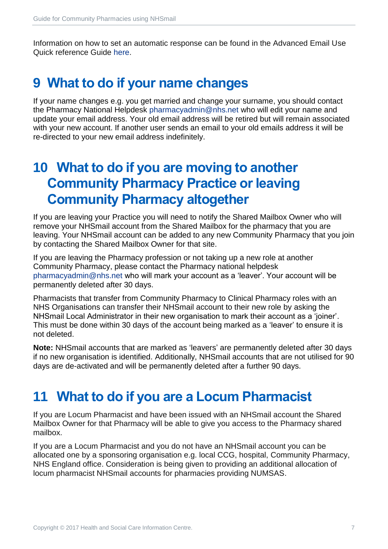Information on how to set an automatic response can be found in the Advanced Email Use Quick reference Guide [here.](https://s3-eu-west-1.amazonaws.com/comms-mat/Training-Materials/OWA-Quick-Reference-Guides/NHSmail2_QRG_Advanced_Email_Use_v0.3_20160126.pdf)

#### <span id="page-6-0"></span>**9 What to do if your name changes**

If your name changes e.g. you get married and change your surname, you should contact the Pharmacy National Helpdesk [pharmacyadmin@nhs.net](mailto:pharmacyadmin@nhs.net) who will edit your name and update your email address. Your old email address will be retired but will remain associated with your new account. If another user sends an email to your old emails address it will be re-directed to your new email address indefinitely.

#### <span id="page-6-1"></span>**10 What to do if you are moving to another Community Pharmacy Practice or leaving Community Pharmacy altogether**

If you are leaving your Practice you will need to notify the Shared Mailbox Owner who will remove your NHSmail account from the Shared Mailbox for the pharmacy that you are leaving. Your NHSmail account can be added to any new Community Pharmacy that you join by contacting the Shared Mailbox Owner for that site.

If you are leaving the Pharmacy profession or not taking up a new role at another Community Pharmacy, please contact the Pharmacy national helpdesk [pharmacyadmin@nhs.net](mailto:pharmacyadmin@nhs.net) who will mark your account as a 'leaver'. Your account will be permanently deleted after 30 days.

Pharmacists that transfer from Community Pharmacy to Clinical Pharmacy roles with an NHS Organisations can transfer their NHSmail account to their new role by asking the NHSmail Local Administrator in their new organisation to mark their account as a 'joiner'. This must be done within 30 days of the account being marked as a 'leaver' to ensure it is not deleted.

**Note:** NHSmail accounts that are marked as 'leavers' are permanently deleted after 30 days if no new organisation is identified. Additionally, NHSmail accounts that are not utilised for 90 days are de-activated and will be permanently deleted after a further 90 days.

#### <span id="page-6-2"></span>**11 What to do if you are a Locum Pharmacist**

If you are Locum Pharmacist and have been issued with an NHSmail account the Shared Mailbox Owner for that Pharmacy will be able to give you access to the Pharmacy shared mailbox.

If you are a Locum Pharmacist and you do not have an NHSmail account you can be allocated one by a sponsoring organisation e.g. local CCG, hospital, Community Pharmacy, NHS England office. Consideration is being given to providing an additional allocation of locum pharmacist NHSmail accounts for pharmacies providing NUMSAS.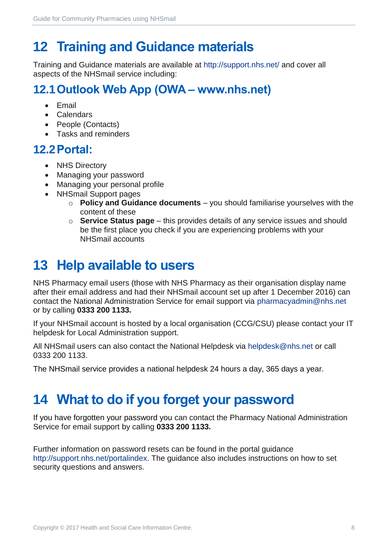# <span id="page-7-0"></span>**12 Training and Guidance materials**

Training and Guidance materials are available at<http://support.nhs.net/> and cover all aspects of the NHSmail service including:

#### <span id="page-7-1"></span>**12.1Outlook Web App (OWA – www.nhs.net)**

- **•** Fmail
- Calendars
- People (Contacts)
- Tasks and reminders

#### <span id="page-7-2"></span>**12.2Portal:**

- NHS Directory
- Managing your password
- Managing your personal profile
- NHSmail Support pages
	- o **Policy and Guidance documents** you should familiarise yourselves with the content of these
	- o **Service Status page** this provides details of any service issues and should be the first place you check if you are experiencing problems with your NHSmail accounts

# <span id="page-7-3"></span>**13 Help available to users**

NHS Pharmacy email users (those with NHS Pharmacy as their organisation display name after their email address and had their NHSmail account set up after 1 December 2016) can contact the National Administration Service for email support via [pharmacyadmin@nhs.net](mailto:pharmacyadmin@nhs.net) or by calling **0333 200 1133.**

If your NHSmail account is hosted by a local organisation (CCG/CSU) please contact your IT helpdesk for Local Administration support.

All NHSmail users can also contact the National Helpdesk via [helpdesk@nhs.net](mailto:helpdesk@nhs.net) or call 0333 200 1133.

The NHSmail service provides a national helpdesk 24 hours a day, 365 days a year.

# <span id="page-7-4"></span>**14 What to do if you forget your password**

If you have forgotten your password you can contact the Pharmacy National Administration Service for email support by calling **0333 200 1133.**

Further information on password resets can be found in the portal guidance [http://support.nhs.net/portalindex.](http://support.nhs.net/portalindex) The guidance also includes instructions on how to set security questions and answers.